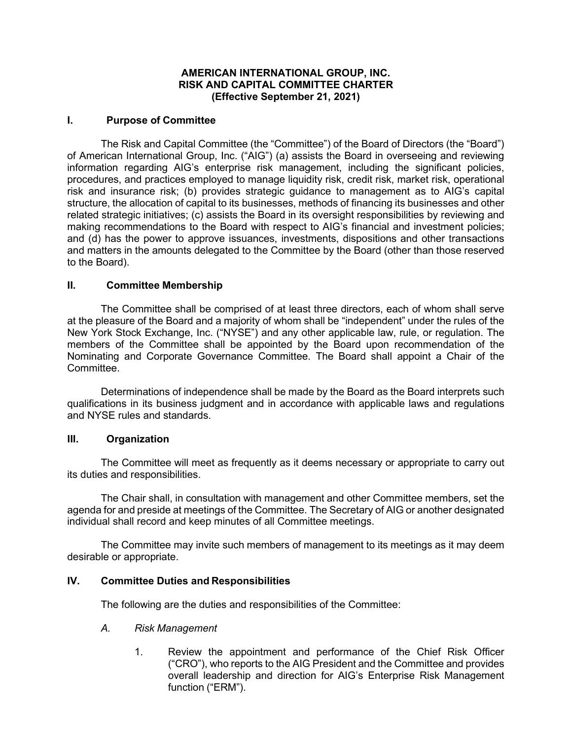## **AMERICAN INTERNATIONAL GROUP, INC. RISK AND CAPITAL COMMITTEE CHARTER (Effective September 21, 2021)**

## **I. Purpose of Committee**

The Risk and Capital Committee (the "Committee") of the Board of Directors (the "Board") of American International Group, Inc. ("AIG") (a) assists the Board in overseeing and reviewing information regarding AIG's enterprise risk management, including the significant policies, procedures, and practices employed to manage liquidity risk, credit risk, market risk, operational risk and insurance risk; (b) provides strategic guidance to management as to AIG's capital structure, the allocation of capital to its businesses, methods of financing its businesses and other related strategic initiatives; (c) assists the Board in its oversight responsibilities by reviewing and making recommendations to the Board with respect to AIG's financial and investment policies; and (d) has the power to approve issuances, investments, dispositions and other transactions and matters in the amounts delegated to the Committee by the Board (other than those reserved to the Board).

## **II. Committee Membership**

The Committee shall be comprised of at least three directors, each of whom shall serve at the pleasure of the Board and a majority of whom shall be "independent" under the rules of the New York Stock Exchange, Inc. ("NYSE") and any other applicable law, rule, or regulation. The members of the Committee shall be appointed by the Board upon recommendation of the Nominating and Corporate Governance Committee. The Board shall appoint a Chair of the **Committee.** 

Determinations of independence shall be made by the Board as the Board interprets such qualifications in its business judgment and in accordance with applicable laws and regulations and NYSE rules and standards.

#### **III. Organization**

The Committee will meet as frequently as it deems necessary or appropriate to carry out its duties and responsibilities.

The Chair shall, in consultation with management and other Committee members, set the agenda for and preside at meetings of the Committee. The Secretary of AIG or another designated individual shall record and keep minutes of all Committee meetings.

The Committee may invite such members of management to its meetings as it may deem desirable or appropriate.

### **IV. Committee Duties and Responsibilities**

The following are the duties and responsibilities of the Committee:

- *A. Risk Management*
	- 1. Review the appointment and performance of the Chief Risk Officer ("CRO"), who reports to the AIG President and the Committee and provides overall leadership and direction for AIG's Enterprise Risk Management function ("ERM").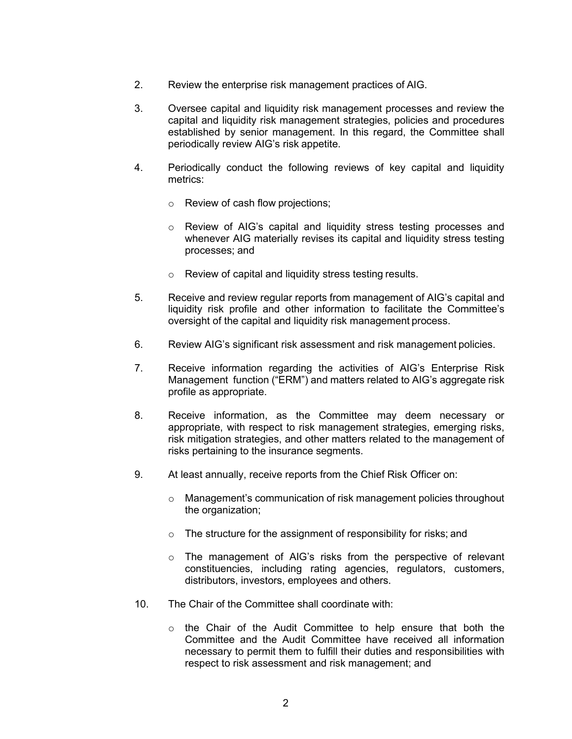- 2. Review the enterprise risk management practices of AIG.
- 3. Oversee capital and liquidity risk management processes and review the capital and liquidity risk management strategies, policies and procedures established by senior management. In this regard, the Committee shall periodically review AIG's risk appetite.
- 4. Periodically conduct the following reviews of key capital and liquidity metrics:
	- o Review of cash flow projections;
	- o Review of AIG's capital and liquidity stress testing processes and whenever AIG materially revises its capital and liquidity stress testing processes; and
	- o Review of capital and liquidity stress testing results.
- 5. Receive and review regular reports from management of AIG's capital and liquidity risk profile and other information to facilitate the Committee's oversight of the capital and liquidity risk management process.
- 6. Review AIG's significant risk assessment and risk management policies.
- 7. Receive information regarding the activities of AIG's Enterprise Risk Management function ("ERM") and matters related to AIG's aggregate risk profile as appropriate.
- 8. Receive information, as the Committee may deem necessary or appropriate, with respect to risk management strategies, emerging risks, risk mitigation strategies, and other matters related to the management of risks pertaining to the insurance segments.
- 9. At least annually, receive reports from the Chief Risk Officer on:
	- o Management's communication of risk management policies throughout the organization;
	- o The structure for the assignment of responsibility for risks; and
	- $\circ$  The management of AIG's risks from the perspective of relevant constituencies, including rating agencies, regulators, customers, distributors, investors, employees and others.
- 10. The Chair of the Committee shall coordinate with:
	- $\circ$  the Chair of the Audit Committee to help ensure that both the Committee and the Audit Committee have received all information necessary to permit them to fulfill their duties and responsibilities with respect to risk assessment and risk management; and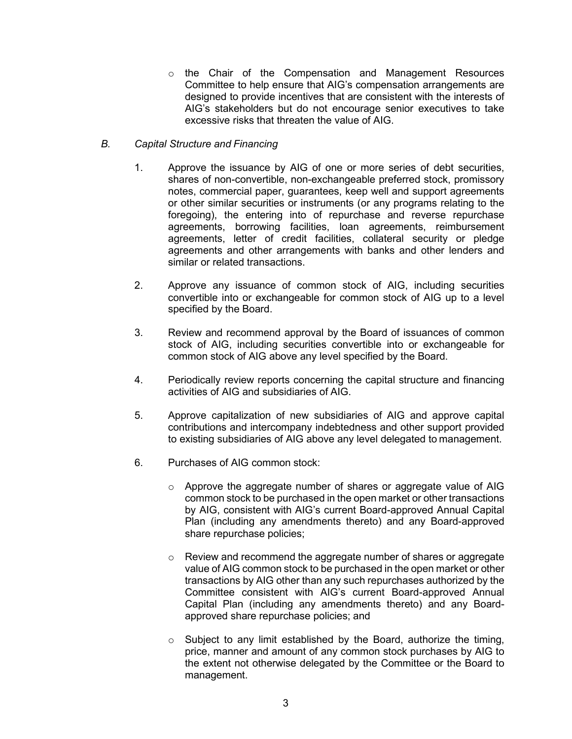o the Chair of the Compensation and Management Resources Committee to help ensure that AIG's compensation arrangements are designed to provide incentives that are consistent with the interests of AIG's stakeholders but do not encourage senior executives to take excessive risks that threaten the value of AIG.

# *B. Capital Structure and Financing*

- 1. Approve the issuance by AIG of one or more series of debt securities, shares of non-convertible, non-exchangeable preferred stock, promissory notes, commercial paper, guarantees, keep well and support agreements or other similar securities or instruments (or any programs relating to the foregoing), the entering into of repurchase and reverse repurchase agreements, borrowing facilities, loan agreements, reimbursement agreements, letter of credit facilities, collateral security or pledge agreements and other arrangements with banks and other lenders and similar or related transactions.
- 2. Approve any issuance of common stock of AIG, including securities convertible into or exchangeable for common stock of AIG up to a level specified by the Board.
- 3. Review and recommend approval by the Board of issuances of common stock of AIG, including securities convertible into or exchangeable for common stock of AIG above any level specified by the Board.
- 4. Periodically review reports concerning the capital structure and financing activities of AIG and subsidiaries of AIG.
- 5. Approve capitalization of new subsidiaries of AIG and approve capital contributions and intercompany indebtedness and other support provided to existing subsidiaries of AIG above any level delegated to management.
- 6. Purchases of AIG common stock:
	- o Approve the aggregate number of shares or aggregate value of AIG common stock to be purchased in the open market or other transactions by AIG, consistent with AIG's current Board-approved Annual Capital Plan (including any amendments thereto) and any Board-approved share repurchase policies;
	- o Review and recommend the aggregate number of shares or aggregate value of AIG common stock to be purchased in the open market or other transactions by AIG other than any such repurchases authorized by the Committee consistent with AIG's current Board-approved Annual Capital Plan (including any amendments thereto) and any Boardapproved share repurchase policies; and
	- $\circ$  Subject to any limit established by the Board, authorize the timing, price, manner and amount of any common stock purchases by AIG to the extent not otherwise delegated by the Committee or the Board to management.